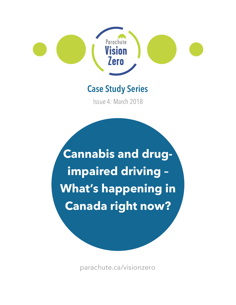

# **Case Study Series**

Issue 4: March 2018

**Cannabis and drugimpaired driving – What's happening in Canada right now?** 

[parachute.ca/visionzero](https://parachute.ca)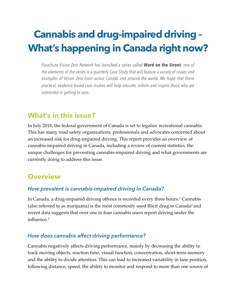# **Cannabis and drug-impaired driving – What's happening in Canada right now?**

*Parachute Vision Zero Network has launched a series called* **Word on the Street***; one of the elements of the series is a quarterly Case Study that will feature a variety of issues and examples of Vision Zero from across Canada and around the world. We hope that these practical, evidence based case studies will help educate, inform and inspire those who are interested in getting to zero.* 

## **What's in this issue?**

In July 2018, the federal government of Canada is set to legalize recreational cannabis. This has many road safety organizations, professionals and advocates concerned about an increased risk for drug-impaired driving. This report provides an overview of cannabis-impaired driving in Canada, including a review of current statistics, the unique challenges for preventing cannabis-impaired driving and what governments are currently doing to address this issue.

# **Overview**

### *How prevalent is cannabis-impaired driving in Canada?*

<span id="page-1-1"></span><span id="page-1-0"></span>In Canada, a drug-impaired driving offence is recorded every three hours.[1](#page-11-0) Cannabis (also referred to as marijuana) is the most commonly used Illicit drug in Canada[2](#page-11-1) and recent data suggests that over one in four cannabis users report driving under the influence.[3](#page-11-2)

### <span id="page-1-2"></span>*How does cannabis affect driving performance?*

Cannabis negatively affects driving performance, mainly by decreasing the ability to track moving objects, reaction time, visual function, concentration, short-term memory and the ability to divide attention. This can lead to increased variability in lane position, following distance, speed, the ability to monitor and respond to more than one source of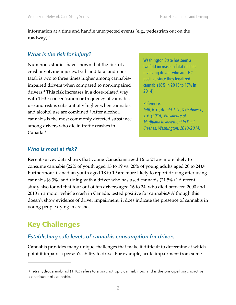information at a time and handle unexpected events (e.g., pedestrian out on the roadway).2

#### *What is the risk for injury?*

<span id="page-2-0"></span>Washington State has seen a<br>Numerous studies have shown that the risk of a twofold increase in fatal crashes crash involving injuries, both and fatal and non- involving drivers who are THCfatal, is two to three times higher among cannabis- positive since they legalized impaired drivers when compared to non-impaired cannabis (8% in 2013 to 17% in drivers.[4](#page-11-3) This risk increases in a dose-related way 2014) with THCi concentration or frequency of cannabis use and risk is substantially higher when cannabis<br>and alcohol use are combined.<sup>4</sup> After alcohol,<br>cannabis is the most commonly detected substance<br>among drivers who die in traffic crashes in<br>Canada.<sup>[5](#page-11-4)</sup> *Cnabovement in Fat* 

<span id="page-2-2"></span>

#### <span id="page-2-1"></span>*Who is most at risk?*

cannabis (8.3%) and riding with a driver who has used cannabis (21.5%). $^6$  A recent Recent survey data shows that young Canadians aged 16 to 24 are more likely to consume cannabis (22% of youth aged 15 to 19 vs. 26% of young adults aged 20 to 24)[.6](#page-11-5) Furthermore, Canadian youth aged 18 to 19 are more likely to report driving after using study also found that four out of ten drivers aged 16 to 24, who died between 2000 and 2010 in a motor vehicle crash in Canada, tested positive for cannabis.6 Although this doesn't show evidence of driver impairment, it does indicate the presence of cannabis in young people dying in crashes.

# **Key Challenges**

### *Establishing safe levels of cannabis consumption for drivers*

Cannabis provides many unique challenges that make it difficult to determine at which point it impairs a person's ability to drive. For example, acute impairment from some

i Tetrahydrocannabinol (THC) refers to a psychotropic cannabinoid and is the principal psychoactive constituent of cannabis.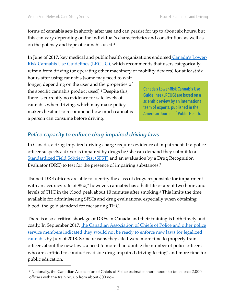forms of cannabis sets in shortly after use and can persist for up to about six hours, but this can vary depending on the individual's characteristics and constitution, as well as on the potency and type of cannabis used.4

In June of 2017, key medical and public health organizations endorsed [Canada's Lower-](https://www.camh.ca/en/research/news_and_publications/reports_and_books/Documents/LRCUG.KT.Professional.15June2017.pdf)[Risk Cannabis Use Guidelines \(LRCUG\)](https://www.camh.ca/en/research/news_and_publications/reports_and_books/Documents/LRCUG.KT.Professional.15June2017.pdf), which recommends that users categorically refrain from driving (or operating other machinery or mobility devices) for at least six

hours after using cannabis (some may need to wait longer, depending on the user and the properties of the specific cannabis product used).<sup>4</sup> Despite this,<br>there is currently no evidence for safe levels of<br>cannabis when driving, which may make policy<br>makers hesitant to recommend how much cannabis<br>merican Journal of Public a person can consume before driving.

<span id="page-3-1"></span><span id="page-3-0"></span>

### *Police capacity to enforce drug-impaired driving laws*

In Canada, a drug-impaired driving charge requires evidence of impairment. If a police officer suspects a driver is impaired by drugs he/she can demand they submit to a [Standardized Field Sobriety Test \(SFST\)](http://www.rcmp-grc.gc.ca/ts-sr/dree-eert-eng.htm) and an evaluation by a Drug Recognition Evaluator (DRE) to test for the presence of impairing substances[.7](#page-11-6)

Trained DRE officers are able to identify the class of drugs responsible for impairment with an accuracy rate of 95%,2 however, cannabis has a half-life of about two hours and levels of THC in the blood peak about 10 minutes after smoking.[8](#page-11-7) This limits the time available for administering SFSTs and drug evaluations, especially when obtaining blood, the gold standard for measuring THC.

There is also a critical shortage of DREs in Canada and their training is both timely and costly. In September 2017, the Canadian Association of Chiefs of Police and other police [service members indicated they would not be ready to enforce new laws for legalized](https://www.thestar.com/news/canada/2017/09/12/police-ask-feds-to-postpone-date-for-legal-pot-say-theres-zero-chance-they-will-be-ready.html)  [cannabis](https://www.thestar.com/news/canada/2017/09/12/police-ask-feds-to-postpone-date-for-legal-pot-say-theres-zero-chance-they-will-be-ready.html) by July of 2018. Some reasons they cited were more time to properly train officers about the new laws, a need to more than double the number of police officers who are certified to conduct roadside drug-impaired driving testingii and more time for public education.

ii Nationally, the Canadian Association of Chiefs of Police estimates there needs to be at least 2,000 officers with the training, up from about 600 now.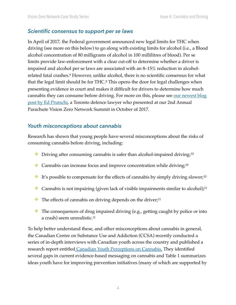#### *Scientific consensus to support per se laws*

<span id="page-4-0"></span>In April of 2017, the Federal government announced new legal limits for THC when driving (see more on this below) to go along with existing limits for alcohol (i.e., a Blood alcohol concentration of 80 milligrams of alcohol in 100 millilitres of blood). Per se limits provide law-enforcement with a clear cut-off to determine whether a driver is impaired and alcohol per se laws are associated with an 8–15% reduction in alcoholrelated fatal crashes.<sup>9</sup> However, unlike alcohol, there is no scientific consensus for what that the legal limit should be for THC.<sup>8</sup> This opens the door for legal challenges when presenting evidence in court and makes it difficult for drivers to determine how much cannabis they can consume before driving. For more on this, please see our newest blog [post by Ed Prutschi,](https://www.visionzeronetwork.ca/blog/2017/12/19/cannabis-research-suggests-feds-pot-laws-a-guessing-game) a Toronto defence lawyer who presented at our 2nd Annual Parachute Vision Zero Network Summit in October of 2017.

#### *Youth misconceptions about cannabis*

Research has shown that young people have several misconceptions about the risks of consuming cannabis before driving, including:

- <span id="page-4-1"></span> $\bullet$  Driving after consuming cannabis is safer than alcohol-impaired driving;<sup>[10](#page-11-9)</sup>
- $\triangleleft$  Cannabis can increase focus and improve concentration while driving;<sup>10</sup>
- ❖ It's possible to compensate for the effects of cannabis by simply driving slower;10
- <span id="page-4-2"></span> $\triangleleft$  Cannabis is not impairing (given lack of visible impairments similar to alcohol);<sup>11</sup>
- $\bullet$  The effects of cannabis on driving depends on the driver;<sup>11</sup>
- ❖ The consequences of drug impaired driving (e.g., getting caught by police or into a crash) seem [unrealistic.11](https://unrealistic.11)

To help better understand these, and other misconceptions about cannabis in general, the Canadian Centre on Substance Use and Addiction (CCSA) recently conducted a series of in-depth interviews with Canadian youth across the country and published a research report entitled [Canadian Youth Perceptions on Cannabis.](http://www.ccsa.ca/Resource%20Library/CCSA-Canadian-Youth-Perceptions-on-Cannabis-Report-2017-en.pdf) They identified several gaps in current evidence-based messaging on cannabis and Table 1 summarizes ideas youth have for improving prevention initiatives (many of which are supported by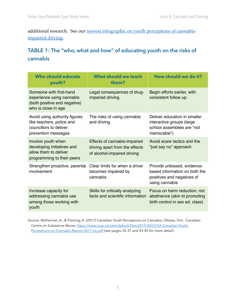additional research. See our [newest infographic on youth perceptions of cannabis](https://www.visionzeronetwork.ca/s/VZ-infographic-cannabis-and-driving.pdf)[impaired driving.](https://www.visionzeronetwork.ca/s/VZ-infographic-cannabis-and-driving.pdf)

### **TABLE 1: The "who, what and how" of educating youth on the risks of cannabis**

| <b>Who should educate</b><br>youth?                                                                         | <b>What should we teach</b><br>them?                                                          | How should we do it?                                                                                         |
|-------------------------------------------------------------------------------------------------------------|-----------------------------------------------------------------------------------------------|--------------------------------------------------------------------------------------------------------------|
| Someone with first-hand<br>experience using cannabis<br>(both positive and negative)<br>who is close in age | Legal consequences of drug-<br>impaired driving                                               | Begin efforts earlier, with<br>consistent follow up                                                          |
| Avoid using authority figures<br>like teachers, police and<br>councillors to deliver<br>prevention messages | The risks of using cannabis<br>and driving                                                    | Deliver education in smaller<br>interactive groups (large<br>school assemblies are "not<br>memorable")       |
| Involve youth when<br>developing initiatives and<br>allow them to deliver<br>programming to their peers     | Effects of cannabis-impaired<br>driving apart from the effects<br>of alcohol-impaired driving | Avoid scare tactics and the<br>"just say no" approach                                                        |
| Strengthen proactive, parental<br>involvement                                                               | Clear limits for when a driver<br>becomes impaired by<br>cannabis                             | Provide unbiased, evidence-<br>based information on both the<br>positives and negatives of<br>using cannabis |
| Increase capacity for<br>addressing cannabis use<br>among those working with<br>youth                       | Skills for critically analyzing<br>facts and scientific information                           | Focus on harm reduction, not<br>abstinence (akin to promoting<br>birth control in sex ed. class)             |

Source: McKiernan, A., & Fleming, K. (2017) Canadian Youth Perceptions on Cannabis, Ottawa, Ont.: Canadian [Centre on Substance Abuse. https://www.ccsa.ca/sites/default/files/2019-04/CCSA-Canadian-Youth-](https://www.ccsa.ca/sites/default/files/2019-04/CCSA-Canadian-Youth-Perceptions-on-Cannabis-Report-2017-en.pdf)[Perceptions-on-Cannabis-Report-2017-en.pdf](https://www.ccsa.ca/sites/default/files/2019-04/CCSA-Canadian-Youth-Perceptions-on-Cannabis-Report-2017-en.pdf) (see pages 35-37 and 43-45 for more detail)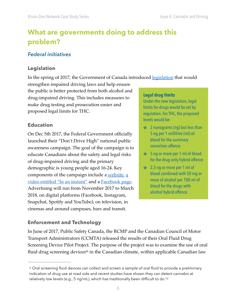# **What are governments doing to address this problem?**

### *Federal initiatives*

#### **Legislation**

In the spring of 2017, the Government of Canada introduced [legislation](http://www.justice.gc.ca/eng/csj-sjc/pl/sidl-rlcfa/drug-drogue.html) that would

strengthen impaired driving laws and help ensure the public is better protected from both alcohol and<br>drug-impaired driving. This includes measures to<br>make drug testing and prosecution easier and<br>proposed legal limits for THC.<br>mits for drugs would be set by<br>regulation. F

On Dec 5th 2017, the Federal Government officially 5 ng per 1 millilitre (ml) of launched their "Don't Drive High" national public blood for the summary<br>conviction offence awareness campaign. The goal of the campaign is to educate Canadians about the safety and legal risks ↓ ◆ 5 ng or more per 1 ml of blood of drug-impaired driving and the primary for the drug-only hybrid offence demographic is young people aged 16-24. Key → 3.5 ng or more per 1 ml of components of the campaign include [a](https://www.canada.ca/content/dam/ps-sp/videos/PSC_InAnInstant_30Eng_WEB.mp4) <u>website</u>,  $\underline{a}$  blood combined with 50 mg or [video entitled "In an instant"](https://www.canada.ca/content/dam/ps-sp/videos/PSC_InAnInstant_30Eng_WEB.mp4) and a [Facebook page](https://www.facebook.com/dontdrivehigh).<br>
Advertising will run from November 2017 to March<br>
2018, on digital platforms (Facebook, Instagram,<br>
<sup>2018</sup>, on digital platforms (Facebook, Instagram, Snapchat, Spotify and YouTube), on television, in cinemas and around campuses, bars and transit.

levels would be:

- **Education Education A Education A A Education Education** *s* 2 nanograms (ng) but less than
	-
	-

#### **Enforcement and Technology**

fluid drug screening devices<sup>iii</sup> in the Canadian climat[e,](#page-11-11) within applicable Canadian law In June of 2017, Public Safety Canada, the RCMP and the Canadian Council of Motor Transport Administrators (CCMTA) released the results of their [Oral Fluid Drug](https://www.publicsafety.gc.ca/cnt/rsrcs/pblctns/rl-fld-drg-scrnng-dvc-plt/index-en.aspx)  [Screening Device Pilot Project.](https://www.publicsafety.gc.ca/cnt/rsrcs/pblctns/rl-fld-drg-scrnng-dvc-plt/index-en.aspx) The purpose of the project was to examine the use of oral

<span id="page-6-0"></span>iii Oral screening fluid devices can collect and screen a sample of oral fluid to provide a preliminary indication of drug use at road side and recent studies have shown they can detect cannabis at relatively low levels (e.g., 5 ng/mL), which has traditionally been difficult to do.12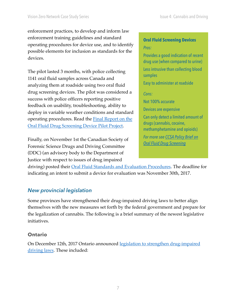enforcement practices, to develop and inform law enforcement training guidelines and standard **Oral Fluid Screening Devices** operating procedures for device use, and to identify possible elements for inclusion as standards for the *Pros: Prosides a good indication of recent* devices. devices **a** *drug use (when compared to urine)* 

The pilot lasted 3 months, with police collecting less intrusive than collecting blood samples<br>1141 oral fluid samples across Canada and **Easy** to administer at roadside analyzing them at roadside using two oral fluid drug screening devices. The pilot was considered a *Cons:*  success with police officers reporting positive<br>feedback on usability, troubleshooting, ability to deploy in variable weather conditions and standard<br> **Expansive deploy in variable weather conditions and standard** Can only detect a limited amount of Operating procedures. Read the <u>Final Report on the drugs (cannabis, cocaine,</u> drugs (cannabis, cocaine, drug Screening Device Pilot Project. methamphetamine and opioids)

*For more see CCSA Policy Brief on*<br> *For more see CCSA Policy Brief on*<br> *Porensic Science Drugs and Driving Committee* (DDC) (an advisory body to the Department of Justice with respect to issues of drug impaired

driving) posted their *Oral Fluid Standards and Evaluation Procedures*. The deadline for indicating an intent to submit a device for evaluation was November 30th, 2017.

### *New provincial legislation*

Some provinces have strengthened their drug-impaired driving laws to better align themselves with the new measures set forth by the federal government and prepare for the legalization of cannabis. The following is a brief summary of the newest legislative initiatives.

#### **Ontario**

On December 12th, 2017 Ontario announced [legislation to strengthen drug-impaired](https://news.ontario.ca/mto/en/2017/12/new-measures-for-drug-impaired-driving.html)  [driving laws](https://news.ontario.ca/mto/en/2017/12/new-measures-for-drug-impaired-driving.html). These included: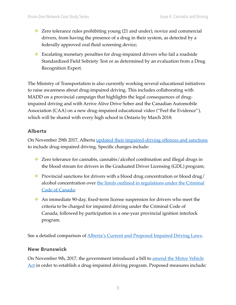- ❖ Zero tolerance rules prohibiting young (21 and under), novice and commercial drivers, from having the presence of a drug in their system, as detected by a federally approved oral fluid screening device;
- ❖ Escalating monetary penalties for drug-impaired drivers who fail a roadside Standardized Field Sobriety Test or as determined by an evaluation from a Drug Recognition Expert.

The Ministry of Transportation is also currently working several educational initiatives to raise awareness about drug-impaired driving. This includes collaborating with MADD on a provincial campaign that highlights the legal consequences of drugimpaired driving and with Arrive Alive Drive Sober and the Canadian Automobile Association (CAA) on a new drug-impaired educational video ("Feel the Evidence"), which will be shared with every high school in Ontario by March 2018.

#### **Alberta**

On November 29th 2017, Alberta [updated their impaired-driving offences and sanctions](https://www.alberta.ca/traffic-safety-act-amendments.aspx) to include drug-impaired driving. Specific changes include:

- ❖ Zero tolerance for cannabis, cannabis/alcohol combination and illegal drugs in the blood stream for drivers in the Graduated Driver Licensing (GDL) program;
- $\bullet$  Provincial sanctions for drivers with a blood drug concentration or blood drug/ alcohol concentration over the limits outlined in regulations under the Criminal [Code of Canada;](http://www.justice.gc.ca/eng/csj-sjc/pl/sidl-rlcfa/drug-drogue.html)
- ❖ An immediate 90-day, fixed-term license suspension for drivers who meet the criteria to be charged for impaired driving under the Criminal Code of Canada, followed by participation in a one-year provincial ignition interlock program.

See a detailed comparison of [Alberta's Current and Proposed Impaired Driving Laws.](https://www.alberta.ca/assets/documents/Bill29-impaired-driving-laws-comparison.pdf)

#### **New Brunswick**

On November 9th, 2017, the government introduced a bill to [amend the Motor Vehicle](http://www2.gnb.ca/content/gnb/en/news/news_release.2017.11.1433.html)  [Act](http://www2.gnb.ca/content/gnb/en/news/news_release.2017.11.1433.html) in order to establish a drug-impaired driving program. Proposed measures include: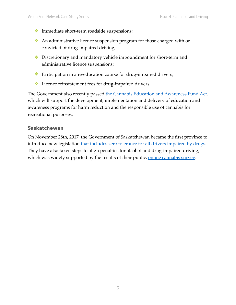- ❖ Immediate short-term roadside suspensions;
- ❖ An administrative licence suspension program for those charged with or convicted of drug-impaired driving;
- ❖ Discretionary and mandatory vehicle impoundment for short-term and administrative licence suspensions;
- ❖ Participation in a re-education course for drug-impaired drivers;
- ❖ Licence reinstatement fees for drug-impaired drivers.

The Government also recently passed [the Cannabis Education and Awareness Fund Act,](http://www2.gnb.ca/content/gnb/en/news/news_release.2017.11.1421.html) which will support the development, implementation and delivery of education and awareness programs for harm reduction and the responsible use of cannabis for recreational purposes.

#### **Saskatchewan**

On November 28th, 2017, the Government of Saskatchewan became the first province to introduce new legislation [that includes zero tolerance for all drivers impaired by drugs](https://www.saskatchewan.ca/government/news-and-media/2017/november/28/zero-tolerance-against-drug-impaired-drivers). They have also taken steps to align penalties for alcohol and drug-impaired driving, which was widely supported by the results of their public, [online cannabis survey.](https://www.saskatchewan.ca/government/news-and-media/2017/november/23/cannabis-survey-results)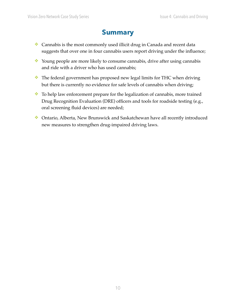# **Summary**

- ❖ Cannabis is the most commonly used illicit drug in Canada and recent data suggests that over one in four cannabis users report driving under the influence;
- ❖ Young people are more likely to consume cannabis, drive after using cannabis and ride with a driver who has used cannabis;
- ❖ The federal government has proposed new legal limits for THC when driving but there is currently no evidence for safe levels of cannabis when driving;
- ❖ To help law enforcement prepare for the legalization of cannabis, more trained Drug Recognition Evaluation (DRE) officers and tools for roadside testing (e.g., oral screening fluid devices) are needed;
- ❖ Ontario, Alberta, New Brunswick and Saskatchewan have all recently introduced new measures to strengthen drug-impaired driving laws.